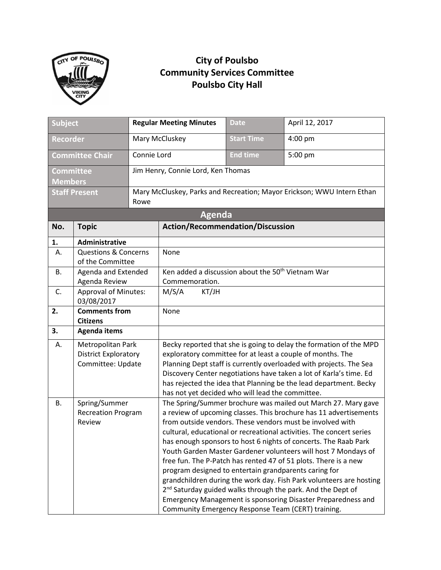

## **City of Poulsbo Community Services Committee Poulsbo City Hall**

| <b>Subject</b>               |                                                      | <b>Regular Meeting Minutes</b>                                         |                                                                    | <b>Date</b>       | April 12, 2017                                                          |  |
|------------------------------|------------------------------------------------------|------------------------------------------------------------------------|--------------------------------------------------------------------|-------------------|-------------------------------------------------------------------------|--|
| <b>Recorder</b>              |                                                      |                                                                        | Mary McCluskey                                                     | <b>Start Time</b> | 4:00 pm                                                                 |  |
| <b>Committee Chair</b>       |                                                      | Connie Lord                                                            |                                                                    | <b>End time</b>   | 5:00 pm                                                                 |  |
| <b>Committee</b>             |                                                      |                                                                        | Jim Henry, Connie Lord, Ken Thomas                                 |                   |                                                                         |  |
| <b>Members</b>               |                                                      |                                                                        |                                                                    |                   |                                                                         |  |
| <b>Staff Present</b><br>Rowe |                                                      | Mary McCluskey, Parks and Recreation; Mayor Erickson; WWU Intern Ethan |                                                                    |                   |                                                                         |  |
|                              |                                                      |                                                                        | <b>Agenda</b>                                                      |                   |                                                                         |  |
| No.                          | <b>Topic</b>                                         |                                                                        | <b>Action/Recommendation/Discussion</b>                            |                   |                                                                         |  |
| 1.                           | Administrative                                       |                                                                        |                                                                    |                   |                                                                         |  |
| А.                           | <b>Questions &amp; Concerns</b><br>of the Committee  |                                                                        | None                                                               |                   |                                                                         |  |
| В.                           | Agenda and Extended                                  |                                                                        | Ken added a discussion about the 50 <sup>th</sup> Vietnam War      |                   |                                                                         |  |
|                              | Agenda Review                                        |                                                                        | Commemoration.                                                     |                   |                                                                         |  |
| C.                           | <b>Approval of Minutes:</b><br>03/08/2017            |                                                                        | M/S/A<br>KT/JH                                                     |                   |                                                                         |  |
| 2.                           | <b>Comments from</b>                                 |                                                                        | None                                                               |                   |                                                                         |  |
|                              | <b>Citizens</b>                                      |                                                                        |                                                                    |                   |                                                                         |  |
| 3.                           | <b>Agenda items</b>                                  |                                                                        |                                                                    |                   |                                                                         |  |
| А.                           | Metropolitan Park                                    |                                                                        | Becky reported that she is going to delay the formation of the MPD |                   |                                                                         |  |
|                              | <b>District Exploratory</b>                          |                                                                        | exploratory committee for at least a couple of months. The         |                   |                                                                         |  |
|                              | Committee: Update                                    |                                                                        | Planning Dept staff is currently overloaded with projects. The Sea |                   |                                                                         |  |
|                              |                                                      |                                                                        | Discovery Center negotiations have taken a lot of Karla's time. Ed |                   |                                                                         |  |
|                              |                                                      |                                                                        | has rejected the idea that Planning be the lead department. Becky  |                   |                                                                         |  |
|                              |                                                      |                                                                        | has not yet decided who will lead the committee.                   |                   |                                                                         |  |
| <b>B.</b>                    | Spring/Summer<br><b>Recreation Program</b><br>Review |                                                                        | The Spring/Summer brochure was mailed out March 27. Mary gave      |                   |                                                                         |  |
|                              |                                                      |                                                                        | a review of upcoming classes. This brochure has 11 advertisements  |                   |                                                                         |  |
|                              |                                                      |                                                                        | from outside vendors. These vendors must be involved with          |                   |                                                                         |  |
|                              |                                                      |                                                                        |                                                                    |                   | cultural, educational or recreational activities. The concert series    |  |
|                              |                                                      |                                                                        |                                                                    |                   | has enough sponsors to host 6 nights of concerts. The Raab Park         |  |
|                              |                                                      |                                                                        |                                                                    |                   | Youth Garden Master Gardener volunteers will host 7 Mondays of          |  |
|                              |                                                      |                                                                        |                                                                    |                   | free fun. The P-Patch has rented 47 of 51 plots. There is a new         |  |
|                              |                                                      |                                                                        | program designed to entertain grandparents caring for              |                   |                                                                         |  |
|                              |                                                      |                                                                        |                                                                    |                   | grandchildren during the work day. Fish Park volunteers are hosting     |  |
|                              |                                                      |                                                                        |                                                                    |                   | 2 <sup>nd</sup> Saturday guided walks through the park. And the Dept of |  |
|                              |                                                      |                                                                        |                                                                    |                   | Emergency Management is sponsoring Disaster Preparedness and            |  |
|                              |                                                      |                                                                        |                                                                    |                   | Community Emergency Response Team (CERT) training.                      |  |